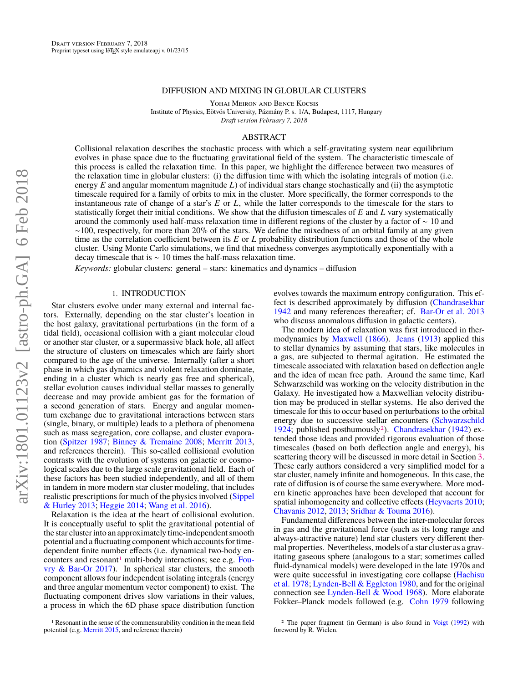### DIFFUSION AND MIXING IN GLOBULAR CLUSTERS

Yohai Meiron and Bence Kocsis

Institute of Physics, Eötvös University, Pázmány P. s. 1/A, Budapest, 1117, Hungary

*Draft version February 7, 2018*

# ABSTRACT

Collisional relaxation describes the stochastic process with which a self-gravitating system near equilibrium evolves in phase space due to the fluctuating gravitational field of the system. The characteristic timescale of this process is called the relaxation time. In this paper, we highlight the difference between two measures of the relaxation time in globular clusters: (i) the diffusion time with which the isolating integrals of motion (i.e. energy *E* and angular momentum magnitude *L*) of individual stars change stochastically and (ii) the asymptotic timescale required for a family of orbits to mix in the cluster. More specifically, the former corresponds to the instantaneous rate of change of a star's *E* or *L*, while the latter corresponds to the timescale for the stars to statistically forget their initial conditions. We show that the diffusion timescales of *E* and *L* vary systematically around the commonly used half-mass relaxation time in different regions of the cluster by a factor of ∼ 10 and  $\sim$ 100, respectively, for more than 20% of the stars. We define the mixedness of an orbital family at any given time as the correlation coefficient between its *E* or *L* probability distribution functions and those of the whole cluster. Using Monte Carlo simulations, we find that mixedness converges asymptotically exponentially with a decay timescale that is ∼ 10 times the half-mass relaxation time.

*Keywords:* globular clusters: general – stars: kinematics and dynamics – diffusion

### 1. INTRODUCTION

Star clusters evolve under many external and internal factors. Externally, depending on the star cluster's location in the host galaxy, gravitational perturbations (in the form of a tidal field), occasional collision with a giant molecular cloud or another star cluster, or a supermassive black hole, all affect the structure of clusters on timescales which are fairly short compared to the age of the universe. Internally (after a short phase in which gas dynamics and violent relaxation dominate, ending in a cluster which is nearly gas free and spherical), stellar evolution causes individual stellar masses to generally decrease and may provide ambient gas for the formation of a second generation of stars. Energy and angular momentum exchange due to gravitational interactions between stars (single, binary, or multiple) leads to a plethora of phenomena such as mass segregation, core collapse, and cluster evaporation [\(Spitzer](#page-9-0) [1987;](#page-9-0) [Binney & Tremaine](#page-9-1) [2008;](#page-9-1) [Merritt](#page-9-2) [2013,](#page-9-2) and references therein). This so-called collisional evolution contrasts with the evolution of systems on galactic or cosmological scales due to the large scale gravitational field. Each of these factors has been studied independently, and all of them in tandem in more modern star cluster modeling, that includes realistic prescriptions for much of the physics involved [\(Sippel](#page-9-3) [& Hurley](#page-9-3) [2013;](#page-9-3) [Heggie](#page-9-4) [2014;](#page-9-4) [Wang et al.](#page-9-5) [2016\)](#page-9-5).

Relaxation is the idea at the heart of collisional evolution. It is conceptually useful to split the gravitational potential of the star cluster into an approximately time-independent smooth potential and a fluctuating component which accounts for timedependent finite number effects (i.e. dynamical two-body en-counters and resonant<sup>[1](#page-0-0)</sup> multi-body interactions; see e.g. [Fou](#page-9-6)[vry & Bar-Or](#page-9-6) [2017\)](#page-9-6). In spherical star clusters, the smooth component allows four independent isolating integrals (energy and three angular momentum vector component) to exist. The fluctuating component drives slow variations in their values, a process in which the 6D phase space distribution function

<span id="page-0-0"></span>1 Resonant in the sense of the commensurability condition in the mean field potential (e.g. [Merritt](#page-9-7) [2015,](#page-9-7) and reference therein)

evolves towards the maximum entropy configuration. This effect is described approximately by diffusion [\(Chandrasekhar](#page-9-8) [1942](#page-9-8) and many references thereafter; cf. [Bar-Or et al.](#page-9-9) [2013](#page-9-9) who discuss anomalous diffusion in galactic centers).

The modern idea of relaxation was first introduced in thermodynamics by [Maxwell](#page-9-10) [\(1866\)](#page-9-10). [Jeans](#page-9-11) [\(1913\)](#page-9-11) applied this to stellar dynamics by assuming that stars, like molecules in a gas, are subjected to thermal agitation. He estimated the timescale associated with relaxation based on deflection angle and the idea of mean free path. Around the same time, Karl Schwarzschild was working on the velocity distribution in the Galaxy. He investigated how a Maxwellian velocity distribution may be produced in stellar systems. He also derived the timescale for this to occur based on perturbations to the orbital energy due to successive stellar encounters [\(Schwarzschild](#page-9-12) [1924;](#page-9-12) published posthumously[2](#page-0-1)). [Chandrasekhar](#page-9-8) [\(1942\)](#page-9-8) extended those ideas and provided rigorous evaluation of those timescales (based on both deflection angle and energy), his scattering theory will be discussed in more detail in Section [3.](#page-1-0) These early authors considered a very simplified model for a star cluster, namely infinite and homogeneous. In this case, the rate of diffusion is of course the same everywhere. More modern kinetic approaches have been developed that account for spatial inhomogeneity and collective effects [\(Heyvaerts](#page-9-13) [2010;](#page-9-13) [Chavanis](#page-9-14) [2012,](#page-9-14) [2013;](#page-9-15) [Sridhar & Touma](#page-9-16) [2016\)](#page-9-16).

Fundamental differences between the inter-molecular forces in gas and the gravitational force (such as its long range and always-attractive nature) lend star clusters very different thermal properties. Nevertheless, models of a star cluster as a gravitating gaseous sphere (analogous to a star; sometimes called fluid-dynamical models) were developed in the late 1970s and were quite successful in investigating core collapse [\(Hachisu](#page-9-17) [et al.](#page-9-17) [1978;](#page-9-17) [Lynden-Bell & Eggleton](#page-9-18) [1980,](#page-9-18) and for the original connection see [Lynden-Bell & Wood](#page-9-19) [1968\)](#page-9-19). More elaborate Fokker–Planck models followed (e.g. [Cohn](#page-9-20) [1979](#page-9-20) following

<span id="page-0-1"></span><sup>2</sup> The paper fragment (in German) is also found in [Voigt](#page-9-21) [\(1992\)](#page-9-21) with foreword by R. Wielen.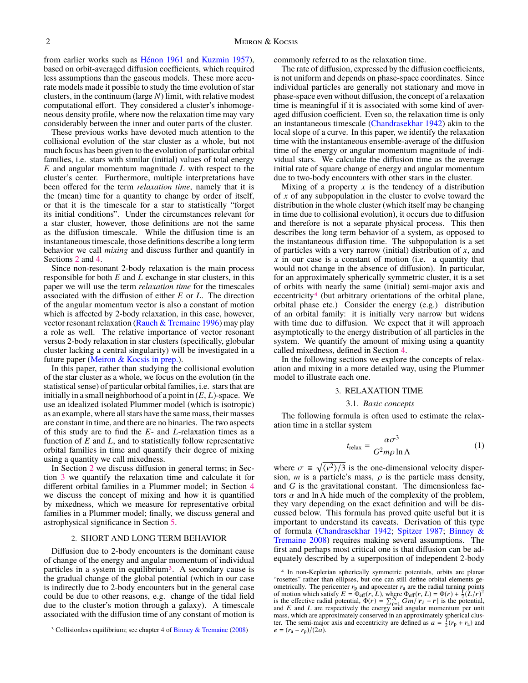from earlier works such as [Hénon](#page-9-22) [1961](#page-9-22) and [Kuzmin](#page-9-23) [1957\)](#page-9-23), based on orbit-averaged diffusion coefficients, which required less assumptions than the gaseous models. These more accurate models made it possible to study the time evolution of star clusters, in the continuum (large *N*) limit, with relative modest computational effort. They considered a cluster's inhomogeneous density profile, where now the relaxation time may vary considerably between the inner and outer parts of the cluster.

These previous works have devoted much attention to the collisional evolution of the star cluster as a whole, but not much focus has been given to the evolution of particular orbital families, i.e. stars with similar (initial) values of total energy *E* and angular momentum magnitude *L* with respect to the cluster's center. Furthermore, multiple interpretations have been offered for the term *relaxation time*, namely that it is the (mean) time for a quantity to change by order of itself, or that it is the timescale for a star to statistically "forget its initial conditions". Under the circumstances relevant for a star cluster, however, those definitions are not the same as the diffusion timescale. While the diffusion time is an instantaneous timescale, those definitions describe a long term behavior we call *mixing* and discuss further and quantify in Sections [2](#page-1-1) and [4.](#page-4-0)

Since non-resonant 2-body relaxation is the main process responsible for both *E* and *L* exchange in star clusters, in this paper we will use the term *relaxation time* for the timescales associated with the diffusion of either *E* or *L*. The direction of the angular momentum vector is also a constant of motion which is affected by 2-body relaxation, in this case, however, vector resonant relaxation [\(Rauch & Tremaine](#page-9-24) [1996\)](#page-9-24) may play a role as well. The relative importance of vector resonant versus 2-body relaxation in star clusters (specifically, globular cluster lacking a central singularity) will be investigated in a future paper [\(Meiron & Kocsis](#page-9-25) [in prep.\)](#page-9-25).

In this paper, rather than studying the collisional evolution of the star cluster as a whole, we focus on the evolution (in the statistical sense) of particular orbital families, i.e. stars that are initially in a small neighborhood of a point in (*E*, *<sup>L</sup>*)-space. We use an idealized isolated Plummer model (which is isotropic) as an example, where all stars have the same mass, their masses are constant in time, and there are no binaries. The two aspects of this study are to find the *E*- and *L*-relaxation times as a function of *E* and *L*, and to statistically follow representative orbital families in time and quantify their degree of mixing using a quantity we call mixedness.

In Section [2](#page-1-1) we discuss diffusion in general terms; in Section [3](#page-1-0) we quantify the relaxation time and calculate it for different orbital families in a Plummer model; in Section [4](#page-4-0) we discuss the concept of mixing and how it is quantified by mixedness, which we measure for representative orbital families in a Plummer model; finally, we discuss general and astrophysical significance in Section [5.](#page-7-0)

### 2. SHORT AND LONG TERM BEHAVIOR

<span id="page-1-1"></span>Diffusion due to 2-body encounters is the dominant cause of change of the energy and angular momentum of individual particles in a system in equilibrium<sup>[3](#page-1-2)</sup>. A secondary cause is the gradual change of the global potential (which in our case is indirectly due to 2-body encounters but in the general case could be due to other reasons, e.g. change of the tidal field due to the cluster's motion through a galaxy). A timescale associated with the diffusion time of any constant of motion is commonly referred to as the relaxation time.

The rate of diffusion, expressed by the diffusion coefficients, is not uniform and depends on phase-space coordinates. Since individual particles are generally not stationary and move in phase-space even without diffusion, the concept of a relaxation time is meaningful if it is associated with some kind of averaged diffusion coefficient. Even so, the relaxation time is only an instantaneous timescale [\(Chandrasekhar](#page-9-8) [1942\)](#page-9-8) akin to the local slope of a curve. In this paper, we identify the relaxation time with the instantaneous ensemble-average of the diffusion time of the energy or angular momentum magnitude of individual stars. We calculate the diffusion time as the average initial rate of square change of energy and angular momentum due to two-body encounters with other stars in the cluster.

Mixing of a property  $x$  is the tendency of a distribution of *x* of any subpopulation in the cluster to evolve toward the distribution in the whole cluster (which itself may be changing in time due to collisional evolution), it occurs due to diffusion and therefore is not a separate physical process. This then describes the long term behavior of a system, as opposed to the instantaneous diffusion time. The subpopulation is a set of particles with a very narrow (initial) distribution of *x*, and *x* in our case is a constant of motion (i.e. a quantity that would not change in the absence of diffusion). In particular, for an approximately spherically symmetric cluster, it is a set of orbits with nearly the same (initial) semi-major axis and eccentricity<sup>[4](#page-1-3)</sup> (but arbitrary orientations of the orbital plane, orbital phase etc.) Consider the energy (e.g.) distribution of an orbital family: it is initially very narrow but widens with time due to diffusion. We expect that it will approach asymptotically to the energy distribution of all particles in the system. We quantify the amount of mixing using a quantity called mixedness, defined in Section [4.](#page-4-0)

In the following sections we explore the concepts of relaxation and mixing in a more detailed way, using the Plummer model to illustrate each one.

### 3. RELAXATION TIME

### 3.1. *Basic concepts*

<span id="page-1-0"></span>The following formula is often used to estimate the relaxation time in a stellar system

<span id="page-1-4"></span>
$$
t_{\text{relax}} = \frac{\alpha \sigma^3}{G^2 m \rho \ln \Lambda} \tag{1}
$$

where  $\sigma \equiv \sqrt{\langle v^2 \rangle/3}$  is the one-dimensional velocity dispersion. *m* is a particle's mass, *o* is the particle mass density. sion, *m* is a particle's mass,  $\rho$  is the particle mass density, and *G* is the gravitational constant. The dimensionless factors  $\alpha$  and ln  $\Lambda$  hide much of the complexity of the problem, they vary depending on the exact definition and will be discussed below. This formula has proved quite useful but it is important to understand its caveats. Derivation of this type of formula [\(Chandrasekhar](#page-9-8) [1942;](#page-9-8) [Spitzer](#page-9-0) [1987;](#page-9-0) [Binney &](#page-9-1) [Tremaine](#page-9-1) [2008\)](#page-9-1) requires making several assumptions. The first and perhaps most critical one is that diffusion can be adequately described by a superposition of independent 2-body

<span id="page-1-2"></span><sup>3</sup> Collisionless equilibrium; see chapter 4 of [Binney & Tremaine](#page-9-1) [\(2008\)](#page-9-1)

<span id="page-1-3"></span><sup>4</sup> In non-Keplerian spherically symmetric potentials, orbits are planar "rosettes" rather than ellipses, but one can still define orbital elements geometrically. The pericenter  $r_p$  and apocenter  $r_a$  are the radial turning points of motion which satisfy  $E = \Phi_{\text{eff}}(r, L)$ , where  $\Phi_{\text{eff}}(r, L) = \Phi(r) + \frac{1}{2}(L/r)^2$  is the effective radial notential  $\Phi(r) = \sum_{r=1}^{N} Gm/r_r - r$ is the effective radial potential,  $\Phi(r) = \sum_{i=1}^{N} Gm/r_i - r$  is the potential, and E and L are respectively the energy and angular momentum per unit mass, which are approximately conserved in an approximately spherical cluster. The semi-major axis and eccentricity are defined as  $a = \frac{1}{2}(r_p + r_a)$  and  $e = (r_a - r_p)/(2a)$ .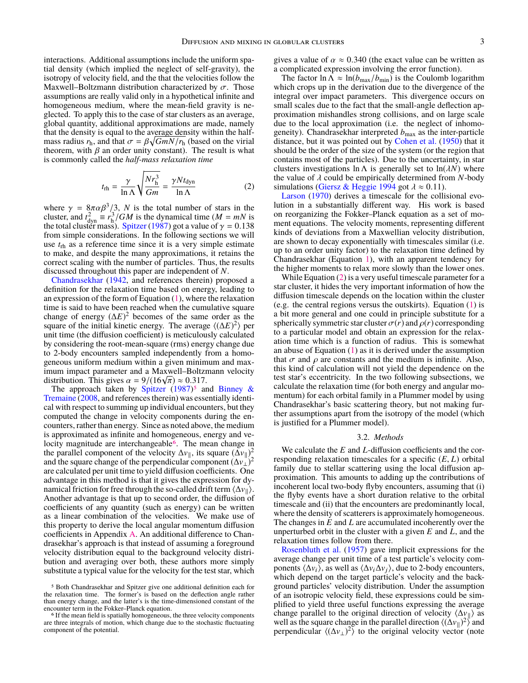interactions. Additional assumptions include the uniform spatial density (which implied the neglect of self-gravity), the isotropy of velocity field, and the that the velocities follow the Maxwell–Boltzmann distribution characterized by  $\sigma$ . Those assumptions are really valid only in a hypothetical infinite and homogeneous medium, where the mean-field gravity is neglected. To apply this to the case of star clusters as an average, global quantity, additional approximations are made, namely that the density is equal to the average density within the halfmass radius  $r_h$ , and that  $\sigma = \beta \sqrt{GmN/r_h}$  (based on the virial theorem, with  $\beta$  an order unity constant). The result is what theorem, with  $\beta$  an order unity constant). The result is what is commonly called the *half-mass relaxation time*

<span id="page-2-2"></span>
$$
t_{\rm rh} = \frac{\gamma}{\ln \Lambda} \sqrt{\frac{N r_{\rm h}^3}{Gm}} = \frac{\gamma N t_{\rm dyn}}{\ln \Lambda} \tag{2}
$$

where  $\gamma = 8\pi\alpha\beta^3/3$ , *N* is the total number of stars in the cluster, and  $t^2 = r^3/GM$  is the dynamical time  $(M = mN)$  is cluster, and  $t_{dyn}^2 \equiv r_h^3/GM$  is the dynamical time ( $M = mN$  is the total cluster mass). [Spitzer](#page-9-0) [\(1987\)](#page-9-0) got a value of  $\gamma = 0.138$ <br>from simple considerations. In the following sections we will from simple considerations. In the following sections we will use *t*rh as a reference time since it is a very simple estimate to make, and despite the many approximations, it retains the correct scaling with the number of particles. Thus, the results discussed throughout this paper are independent of *N*.

[Chandrasekhar](#page-9-8) [\(1942,](#page-9-8) and references therein) proposed a definition for the relaxation time based on energy, leading to an expression of the form of Equation [\(1\)](#page-1-4), where the relaxation time is said to have been reached when the cumulative square change of energy  $(\Delta E)^2$  becomes of the same order as the square of the initial kinetic energy. The average  $\langle (\Delta E)^2 \rangle$  per unit time (the diffusion coefficient) is meticulously calculated by considering the root-mean-square (rms) energy change due to 2-body encounters sampled independently from a homogeneous uniform medium within a given minimum and maximum impact parameter and a Maxwell–Boltzmann velocity imum impact parameter and a Maxwell–Boltzi<br>distribution. This gives  $\alpha = 9/(16\sqrt{\pi}) \approx 0.317$ .<br>The approach taken by Spitzer (1987)<sup>5</sup> and

The approach taken by [Spitzer](#page-9-0)  $(1987)^5$  $(1987)^5$  $(1987)^5$  and [Binney &](#page-9-1) [Tremaine](#page-9-1) [\(2008,](#page-9-1) and references therein) was essentially identical with respect to summing up individual encounters, but they computed the change in velocity components during the encounters, rather than energy. Since as noted above, the medium is approximated as infinite and homogeneous, energy and ve-locity magnitude are interchangeable<sup>[6](#page-2-1)</sup>. The mean change in the parallel component of the velocity  $\Delta v_{\parallel}$ , its square  $(\Delta v_{\parallel})^2$ and the square change of the perpendicular component  $(\Delta v_{\perp})^2$ are calculated per unit time to yield diffusion coefficients. One advantage in this method is that it gives the expression for dynamical friction for free through the so-called drift term  $\langle \Delta v_{\parallel} \rangle$ . Another advantage is that up to second order, the diffusion of coefficients of any quantity (such as energy) can be written as a linear combination of the velocities. We make use of this property to derive the local angular momentum diffusion coefficients in Appendix [A.](#page-9-26) An additional difference to Chandrasekhar's approach is that instead of assuming a foreground velocity distribution equal to the background velocity distribution and averaging over both, these authors more simply substitute a typical value for the velocity for the test star, which gives a value of  $\alpha \approx 0.340$  (the exact value can be written as a complicated expression involving the error function).

The factor  $\ln \Lambda \approx \ln(b_{\text{max}}/b_{\text{min}})$  is the Coulomb logarithm which crops up in the derivation due to the divergence of the integral over impact parameters. This divergence occurs on small scales due to the fact that the small-angle deflection approximation mishandles strong collisions, and on large scale due to the local approximation (i.e. the neglect of inhomogeneity). Chandrasekhar interpreted *b*max as the inter-particle distance, but it was pointed out by [Cohen et al.](#page-9-27) [\(1950\)](#page-9-27) that it should be the order of the size of the system (or the region that contains most of the particles). Due to the uncertainty, in star clusters investigations  $\ln \Lambda$  is generally set to  $\ln(\lambda N)$  where the value of  $\lambda$  could be empirically determined from  $N$ -body simulations [\(Giersz & Heggie](#page-9-28) [1994](#page-9-28) got  $\lambda \approx 0.11$ ).

[Larson](#page-9-29) [\(1970\)](#page-9-29) derives a timescale for the collisional evolution in a substantially different way. His work is based on reorganizing the Fokker–Planck equation as a set of moment equations. The velocity moments, representing different kinds of deviations from a Maxwellian velocity distribution, are shown to decay exponentially with timescales similar (i.e. up to an order unity factor) to the relaxation time defined by Chandrasekhar (Equation [1\)](#page-1-4), with an apparent tendency for the higher moments to relax more slowly than the lower ones.

While Equation [\(2\)](#page-2-2) is a very useful timescale parameter for a star cluster, it hides the very important information of how the diffusion timescale depends on the location within the cluster (e.g. the central regions versus the outskirts). Equation [\(1\)](#page-1-4) is a bit more general and one could in principle substitute for a spherically symmetric star cluster  $\sigma(r)$  and  $\rho(r)$  corresponding to a particular model and obtain an expression for the relaxation time which is a function of radius. This is somewhat an abuse of Equation  $(1)$  as it is derived under the assumption that  $\sigma$  and  $\rho$  are constants and the medium is infinite. Also, this kind of calculation will not yield the dependence on the test star's eccentricity. In the two following subsections, we calculate the relaxation time (for both energy and angular momentum) for each orbital family in a Plummer model by using Chandrasekhar's basic scattering theory, but not making further assumptions apart from the isotropy of the model (which is justified for a Plummer model).

# 3.2. *Methods*

<span id="page-2-3"></span>We calculate the *E* and *L*-diffusion coefficients and the corresponding relaxation timescales for a specific (*E*, *<sup>L</sup>*) orbital family due to stellar scattering using the local diffusion approximation. This amounts to adding up the contributions of incoherent local two-body flyby encounters, assuming that (i) the flyby events have a short duration relative to the orbital timescale and (ii) that the encounters are predominantly local, where the density of scatterers is approximately homogeneous. The changes in *E* and *L* are accumulated incoherently over the unperturbed orbit in the cluster with a given *E* and *L*, and the relaxation times follow from there.

[Rosenbluth et al.](#page-9-30) [\(1957\)](#page-9-30) gave implicit expressions for the average change per unit time of a test particle's velocity components  $\langle \Delta v_i \rangle$ , as well as  $\langle \Delta v_i \Delta v_j \rangle$ , due to 2-body encounters, which depend on the target particle's velocity and the background particles' velocity distribution. Under the assumption of an isotropic velocity field, these expressions could be simplified to yield three useful functions expressing the average change parallel to the original direction of velocity  $\langle \Delta v_{\parallel} \rangle$  as well as the square change in the parallel direction  $\langle (\Delta v_{\parallel})^2 \rangle$  and perpendicular  $\langle (\Delta v_{\perp})^2 \rangle$  to the original velocity vector (note

<span id="page-2-0"></span><sup>5</sup> Both Chandrasekhar and Spitzer give one additional definition each for the relaxation time. The former's is based on the deflection angle rather than energy change, and the latter's is the time-dimensioned constant of the encounter term in the Fokker–Planck equation.

<span id="page-2-1"></span><sup>&</sup>lt;sup>6</sup> If the mean field is spatially homogeneous, the three velocity components are three integrals of motion, which change due to the stochastic fluctuating component of the potential.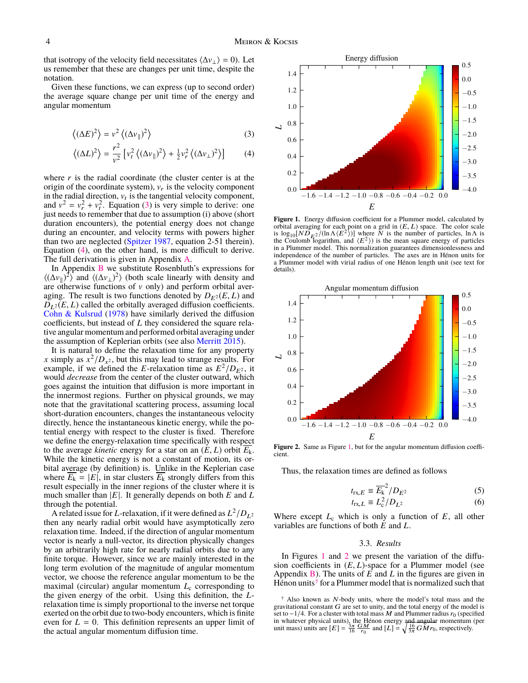that isotropy of the velocity field necessitates  $\langle \Delta v_{\perp} \rangle = 0$ ). Let us remember that these are changes per unit time, despite the notation.

Given these functions, we can express (up to second order) the average square change per unit time of the energy and angular momentum

$$
\left\langle (\Delta E)^2 \right\rangle = v^2 \left\langle (\Delta v_{\parallel})^2 \right\rangle \tag{3}
$$

$$
\langle (\Delta L)^2 \rangle = \frac{r^2}{v^2} \left[ v_t^2 \langle (\Delta v_{\parallel})^2 \rangle + \frac{1}{2} v_r^2 \langle (\Delta v_{\perp})^2 \rangle \right] \tag{4}
$$

where  $r$  is the radial coordinate (the cluster center is at the origin of the coordinate system),  $v_r$  is the velocity component in the radial direction,  $v_t$  is the tangential velocity component, and  $v^2 = v_r^2 + v_t^2$ . Equation [\(3\)](#page-3-0) is very simple to derive: one just needs to remember that due to assumption (i) above (short duration encounters), the potential energy does not change during an encounter, and velocity terms with powers higher than two are neglected [\(Spitzer](#page-9-0) [1987,](#page-9-0) equation 2-51 therein). Equation [\(4\)](#page-3-1), on the other hand, is more difficult to derive. The full derivation is given in Appendix [A.](#page-9-26)

In Appendix [B](#page-10-0) we substitute Rosenbluth's expressions for  $\langle (\Delta v_{\parallel})^2 \rangle$  and  $\langle (\Delta v_{\perp})^2 \rangle$  (both scale linearly with density and are otherwise functions of  $v$  only) and perform orbital averaging. The result is two functions denoted by  $D_{E^2}(E, L)$  and  $D_{L^2}(E, L)$  called the orbitally averaged diffusion coefficients. [Cohn & Kulsrud](#page-9-31) [\(1978\)](#page-9-31) have similarly derived the diffusion coefficients, but instead of *L* they considered the square relative angular momentum and performed orbital averaging under the assumption of Keplerian orbits (see also [Merritt](#page-9-7) [2015\)](#page-9-7).

It is natural to define the relaxation time for any property *x* simply as  $x^2/D_{x^2}$ , but this may lead to strange results. For example, if we defined the *E*-relaxation time as  $E^2/D_{E^2}$ , it would *decrease* from the center of the cluster outward, which goes against the intuition that diffusion is more important in the innermost regions. Further on physical grounds, we may note that the gravitational scattering process, assuming local short-duration encounters, changes the instantaneous velocity directly, hence the instantaneous kinetic energy, while the potential energy with respect to the cluster is fixed. Therefore we define the energy-relaxation time specifically with respect to the average *kinetic* energy for a star on an  $(E, L)$  orbit  $E_k$ . While the kinetic energy is not a constant of motion, its orbital average (by definition) is. Unlike in the Keplerian case where  $\overline{E_k} = |E|$ , in star clusters  $\overline{E_k}$  strongly differs from this result especially in the inner regions of the cluster where it is much smaller than |*E*|. It generally depends on both *E* and *L* through the potential.

A related issue for *L*-relaxation, if it were defined as  $L^2/D_{L^2}$ then any nearly radial orbit would have asymptotically zero relaxation time. Indeed, if the direction of angular momentum vector is nearly a null-vector, its direction physically changes by an arbitrarily high rate for nearly radial orbits due to any finite torque. However, since we are mainly interested in the long term evolution of the magnitude of angular momentum vector, we choose the reference angular momentum to be the maximal (circular) angular momentum *L*<sub>c</sub> corresponding to the given energy of the orbit. Using this definition, the *L*relaxation time is simply proportional to the inverse net torque exerted on the orbit due to two-body encounters, which is finite even for  $L = 0$ . This definition represents an upper limit of the actual angular momentum diffusion time.

<span id="page-3-2"></span><span id="page-3-0"></span>

<span id="page-3-1"></span>Figure 1. Energy diffusion coefficient for a Plummer model, calculated by orbital averaging for each point on a grid in  $(E, L)$  space. The color scale is  $\log_{10} [ND_{E^2}/(\ln \Lambda \langle E^2 \rangle)]$  where N is the number of particles,  $\ln \Lambda$  is the Coulomb logarithm, and  $\langle E^2 \rangle$ ) is the mean square energy of particles in a Plummer model. This normalization guarantees dimensionlessness and independence of the number of particles. The axes are in Hénon units for a Plummer model with virial radius of one Hénon length unit (see text for details).

<span id="page-3-3"></span>

Figure 2. Same as Figure [1,](#page-3-2) but for the angular momentum diffusion coefficient.

Thus, the relaxation times are defined as follows

$$
t_{\text{rx},E} \equiv \overline{E_k}^2 / D_{E^2}
$$
 (5)  

$$
t_{\text{rx}} = L^2 / D_{\text{rx}}
$$
 (6)

$$
t_{\text{rx},L} \equiv L_{\text{c}}^2 / D_{L^2} \tag{6}
$$

Where except  $L_c$  which is only a function of  $E$ , all other variables are functions of both *E* and *L*.

### 3.3. *Results*

<span id="page-3-5"></span>In Figures [1](#page-3-2) and [2](#page-3-3) we present the variation of the diffusion coefficients in  $(E, L)$ -space for a Plummer model (see Appendix [B\)](#page-10-0). The units of *E* and *L* in the figures are given in Hénon units<sup>[7](#page-3-4)</sup> for a Plummer model that is normalized such that

<span id="page-3-4"></span><sup>7</sup> Also known as N-body units, where the model's total mass and the gravitational constant  $G$  are set to unity, and the total energy of the model is set to  $-1/4$ . For a cluster with total mass M and Plummer radius  $r_0$  (specified in whatever physical units), the Hénon energy and angular momentum (per unit mass) units are  $[E] = \frac{3\pi}{16} \frac{GM}{r_0}$  and  $[L] = \sqrt{\frac{16}{3\pi}} GMr_0$ , respectively.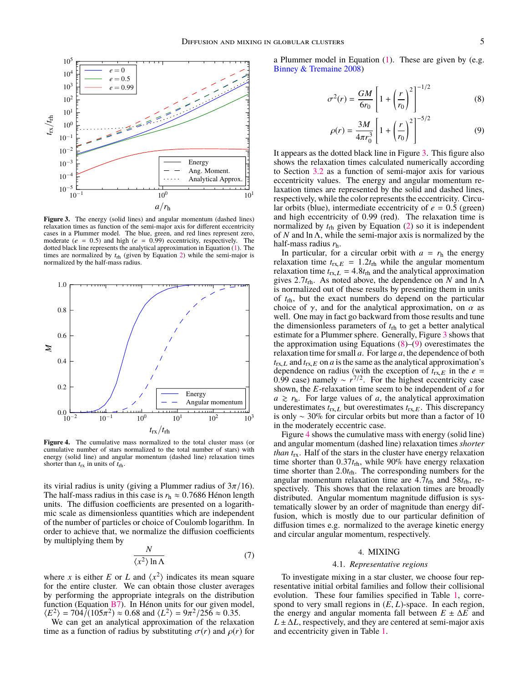<span id="page-4-1"></span>

**Figure 3.** The energy (solid lines) and angular momentum (dashed lines) relaxation times as function of the semi-major axis for different eccentricity cases in a Plummer model. The blue, green, and red lines represent zero, moderate ( $e = 0.5$ ) and high ( $e = 0.99$ ) eccentricity, respectively. The dotted black line represents the analytical approximation in Equation [\(1\)](#page-1-4). The times are normalized by  $t_{\text{rh}}$  (given by Equation [2\)](#page-2-2) while the semi-major is normalized by the half-mass radius.

<span id="page-4-4"></span>

**Figure 4.** The cumulative mass normalized to the total cluster mass (or cumulative number of stars normalized to the total number of stars) with energy (solid line) and angular momentum (dashed line) relaxation times shorter than  $t_{rx}$  in units of  $t_{rh}$ .

its virial radius is unity (giving a Plummer radius of  $3\pi/16$ ). The half-mass radius in this case is  $r_h \approx 0.7686$  Hénon length units. The diffusion coefficients are presented on a logarithmic scale as dimensionless quantities which are independent of the number of particles or choice of Coulomb logarithm. In order to achieve that, we normalize the diffusion coefficients by multiplying them by

$$
\frac{N}{\langle x^2 \rangle \ln \Lambda} \tag{7}
$$

where *x* is either *E* or *L* and  $\langle x^2 \rangle$  indicates its mean square for the entire cluster. We can obtain those cluster averages by performing the appropriate integrals on the distribution function (Equation [B7\)](#page-11-0). In Hénon units for our given model,  $\langle E^2 \rangle = 704/(105\pi^2) \approx 0.68$  and  $\langle L^2 \rangle = 9\pi^2/256 \approx 0.35$ .<br>We can get an analytical approximation of the relaxa

We can get an analytical approximation of the relaxation time as a function of radius by substituting  $\sigma(r)$  and  $\rho(r)$  for a Plummer model in Equation  $(1)$ . These are given by  $(e.g.,)$ [Binney & Tremaine](#page-9-1) [2008\)](#page-9-1)

$$
\sigma^2(r) = \frac{GM}{6r_0} \left[ 1 + \left(\frac{r}{r_0}\right)^2 \right]^{-1/2} \tag{8}
$$

<span id="page-4-3"></span><span id="page-4-2"></span>
$$
\rho(r) = \frac{3M}{4\pi r_0^3} \left[ 1 + \left(\frac{r}{r_0}\right)^2 \right]^{-5/2}
$$
 (9)

It appears as the dotted black line in Figure [3.](#page-4-1) This figure also shows the relaxation times calculated numerically according to Section [3.2](#page-2-3) as a function of semi-major axis for various eccentricity values. The energy and angular momentum relaxation times are represented by the solid and dashed lines, respectively, while the color represents the eccentricity. Circular orbits (blue), intermediate eccentricity of  $e = 0.5$  (green) and high eccentricity of <sup>0</sup>.<sup>99</sup> (red). The relaxation time is normalized by *t*rh given by Equation [\(2\)](#page-2-2) so it is independent of *N* and ln Λ, while the semi-major axis is normalized by the half-mass radius *r*h.

In particular, for a circular orbit with  $a = r<sub>h</sub>$  the energy relaxation time  $t_{rx,E} = 1.2t_{rh}$  while the angular momentum relaxation time  $t_{rx,L} = 4.8t_{rh}$  and the analytical approximation gives <sup>2</sup>.7*t*rh. As noted above, the dependence on *<sup>N</sup>* and ln <sup>Λ</sup> is normalized out of these results by presenting them in units of *t*rh, but the exact numbers do depend on the particular choice of  $\gamma$ , and for the analytical approximation, on  $\alpha$  as well. One may in fact go backward from those results and tune the dimensionless parameters of *t*rh to get a better analytical estimate for a Plummer sphere. Generally, Figure [3](#page-4-1) shows that the approximation using Equations  $(8)$ – $(9)$  overestimates the relaxation time for small *a*. For large *a*, the dependence of both  $t_{\text{rx},L}$  and  $t_{\text{rx},E}$  on *a* is the same as the analytical approximation's dependence on radius (with the exception of  $t_{rx, E}$  in the  $e = 0.99$  case) namely  $\approx r^{7/2}$ . For the highest eccentricity case 0.99 case) namely  $\sim r^{7/2}$ . For the highest eccentricity case shown, the *E*-relaxation time seem to be independent of *a* for shown, the *E*-relaxation time seem to be independent of *a* for  $a \ge r_h$ . For large values of *a*, the analytical approximation underestimates  $t_{\text{rx},L}$  but overestimates  $t_{\text{rx},E}$ . This discrepancy is only ∼ 30% for circular orbits but more than a factor of 10 in the moderately eccentric case.

Figure [4](#page-4-4) shows the cumulative mass with energy (solid line) and angular momentum (dashed line) relaxation times *shorter than t*rx. Half of the stars in the cluster have energy relaxation time shorter than 0.37t<sub>rh</sub>, while 90% have energy relaxation time shorter than <sup>2</sup>.0*t*rh. The corresponding numbers for the angular momentum relaxation time are  $4.7t_{\rm rh}$  and  $58t_{\rm rh}$ , respectively. This shows that the relaxation times are broadly distributed. Angular momentum magnitude diffusion is systematically slower by an order of magnitude than energy diffusion, which is mostly due to our particular definition of diffusion times e.g. normalized to the average kinetic energy and circular angular momentum, respectively.

### 4. MIXING

### 4.1. *Representative regions*

<span id="page-4-5"></span><span id="page-4-0"></span>To investigate mixing in a star cluster, we choose four representative initial orbital families and follow their collisional evolution. These four families specified in Table [1,](#page-5-0) correspond to very small regions in (*E*, *<sup>L</sup>*)-space. In each region, the energy and angular momenta fall between  $E \pm \Delta E$  and  $L \pm \Delta L$ , respectively, and they are centered at semi-major axis and eccentricity given in Table [1.](#page-5-0)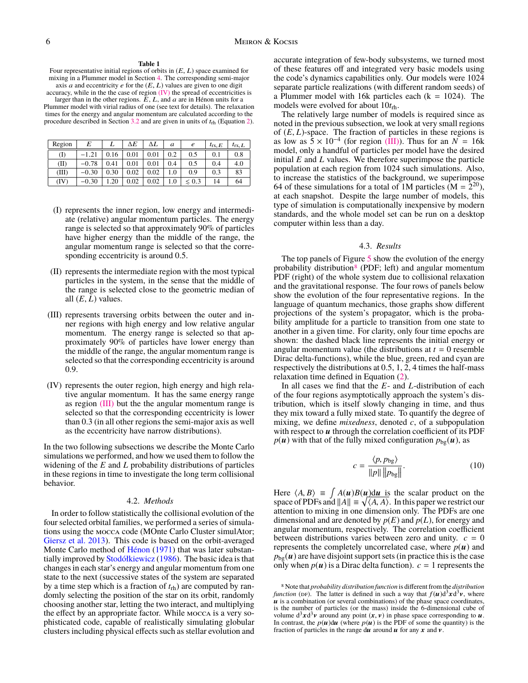#### **Table 1**

<span id="page-5-0"></span>Four representative initial regions of orbits in  $(E, L)$  space examined for mixing in a Plummer model in Section [4.](#page-4-0) The corresponding semi-major axis  $a$  and eccentricity  $e$  for the  $(E, L)$  values are given to one digit accuracy, while in the the case of region  $(IV)$  the spread of eccentricities is larger than in the other regions.  $E$ ,  $L$ , and  $a$  are in Hénon units for a Plummer model with virial radius of one (see text for details). The relaxation times for the energy and angular momentum are calculated according to the procedure described in Section [3.2](#page-2-3) and are given in units of  $t_{\text{rh}}$  (Equation [2\)](#page-2-2).

| Region | E       | L    | ΔΕ   | ΔL   | a   | e        | $t_{\text{rx},E}$ | $t_{\text{rx}}$ , L |
|--------|---------|------|------|------|-----|----------|-------------------|---------------------|
| (I)    | $-1.21$ | 0.16 | 0.01 | 0.01 | 0.2 | 0.5      | 0.1               | 0.8                 |
| (II)   | $-0.78$ | 0.41 | 0.01 | 0.01 | 0.4 | 0.5      | 0.4               | 4.0                 |
| (III)  | $-0.30$ | 0.30 | 0.02 | 0.02 | 1.0 | 0.9      | 0.3               | 83                  |
| (IV)   | $-0.30$ | .20  | 0.02 | 0.02 | .0  | 0.3<br>≲ | 14                | 64                  |

- <span id="page-5-5"></span>(I) represents the inner region, low energy and intermediate (relative) angular momentum particles. The energy range is selected so that approximately 90% of particles have higher energy than the middle of the range, the angular momentum range is selected so that the corresponding eccentricity is around 0.5.
- <span id="page-5-6"></span>(II) represents the intermediate region with the most typical particles in the system, in the sense that the middle of the range is selected close to the geometric median of all  $(E, L)$  values.
- <span id="page-5-2"></span>(III) represents traversing orbits between the outer and inner regions with high energy and low relative angular momentum. The energy range is selected so that approximately 90% of particles have lower energy than the middle of the range, the angular momentum range is selected so that the corresponding eccentricity is around 0.9.
- <span id="page-5-1"></span>(IV) represents the outer region, high energy and high relative angular momentum. It has the same energy range as region [\(III\)](#page-5-2) but the the angular momentum range is selected so that the corresponding eccentricity is lower than 0.3 (in all other regions the semi-major axis as well as the eccentricity have narrow distributions).

In the two following subsections we describe the Monte Carlo simulations we performed, and how we used them to follow the widening of the *E* and *L* probability distributions of particles in these regions in time to investigate the long term collisional behavior.

### 4.2. *Methods*

In order to follow statistically the collisional evolution of the four selected orbital families, we performed a series of simulations using the mocca code (MOnte Carlo Cluster simulAtor; [Giersz et al.](#page-9-32) [2013\)](#page-9-32). This code is based on the orbit-averaged Monte Carlo method of [Hénon](#page-9-33) [\(1971\)](#page-9-33) that was later substantially improved by [Stodółkiewicz](#page-9-34) [\(1986\)](#page-9-34). The basic idea is that changes in each star's energy and angular momentum from one state to the next (successive states of the system are separated by a time step which is a fraction of *t*rh) are computed by randomly selecting the position of the star on its orbit, randomly choosing another star, letting the two interact, and multiplying the effect by an appropriate factor. While mocca is a very sophisticated code, capable of realistically simulating globular clusters including physical effects such as stellar evolution and

accurate integration of few-body subsystems, we turned most of these features off and integrated very basic models using the code's dynamics capabilities only. Our models were 1024 separate particle realizations (with different random seeds) of a Plummer model with 16k particles each  $(k = 1024)$ . The models were evolved for about 10*t*rh.

The relatively large number of models is required since as noted in the previous subsection, we look at very small regions of (*E*, *<sup>L</sup>*)-space. The fraction of particles in these regions is as low as  $5 \times 10^{-4}$  (for region [\(III\)\)](#page-5-2). Thus for an  $N = 16k$ model, only a handful of particles per model have the desired initial *E* and *L* values. We therefore superimpose the particle population at each region from 1024 such simulations. Also, to increase the statistics of the background, we superimpose 64 of these simulations for a total of 1M particles  $(M = 2^{20})$ , at each snapshot. Despite the large number of models, this type of simulation is computationally inexpensive by modern standards, and the whole model set can be run on a desktop computer within less than a day.

### 4.3. *Results*

The top panels of Figure [5](#page-6-0) show the evolution of the energy probability distribution<sup>[8](#page-5-3)</sup> (PDF; left) and angular momentum PDF (right) of the whole system due to collisional relaxation and the gravitational response. The four rows of panels below show the evolution of the four representative regions. In the language of quantum mechanics, those graphs show different projections of the system's propagator, which is the probability amplitude for a particle to transition from one state to another in a given time. For clarity, only four time epochs are shown: the dashed black line represents the initial energy or angular momentum value (the distributions at  $t = 0$  resemble Dirac delta-functions), while the blue, green, red and cyan are respectively the distributions at 0.5, 1, 2, 4 times the half-mass relaxation time defined in Equation [\(2\)](#page-2-2).

In all cases we find that the *E*- and *L*-distribution of each of the four regions asymptotically approach the system's distribution, which is itself slowly changing in time, and thus they mix toward a fully mixed state. To quantify the degree of mixing, we define *mixedness*, denoted *c*, of a subpopulation with respect to  $\boldsymbol{u}$  through the correlation coefficient of its PDF  $p(u)$  with that of the fully mixed configuration  $p_{bg}(u)$ , as

<span id="page-5-4"></span>
$$
c = \frac{\langle p, p_{\text{bg}} \rangle}{\|p\| \|p_{\text{bg}}\|}.
$$
 (10)

Here  $\langle A, B \rangle \equiv \int A(u)B(u) \frac{du}{dx}$  is the scalar product on the space of PDFs and  $||A|| \equiv \sqrt{(A, A)}$ . In this paper we restrict our space of PDFs and  $||A|| \equiv \sqrt{\langle A, A \rangle}$ . In this paper we restrict our attention to mixing in one dimension only. The PDFs are one attention to mixing in one dimension only. The PDFs are one dimensional and are denoted by  $p(E)$  and  $p(L)$ , for energy and angular momentum, respectively. The correlation coefficient between distributions varies between zero and unity.  $c = 0$ represents the completely uncorrelated case, where  $p(u)$  and  $p_{bg}(u)$  are have disjoint support sets (in practice this is the case only when  $p(u)$  is a Dirac delta function).  $c = 1$  represents the

<span id="page-5-3"></span><sup>8</sup> Note that *probability distribution function* is different from the *distribution function* (DF). The latter is defined in such a way that  $f(u)d^3x d^3v$ , where  $u$  is a combination (or several combinations) of the phase space coordinates, is the number of particles (or the mass) inside the 6-dimensional cube of volume  $d^3x d^3y$  around any point  $(x, y)$  in phase space corresponding to  $u$ .<br>In contrast, the  $p(u)du$  (where  $p(u)$ ) is the PDF of some the quantity) is the In contrast, the  $p(u)du$  (where  $p(u)$  is the PDF of some the quantity) is the fraction of particles in the range  $du$  around  $u$  for any  $x$  and  $v$ .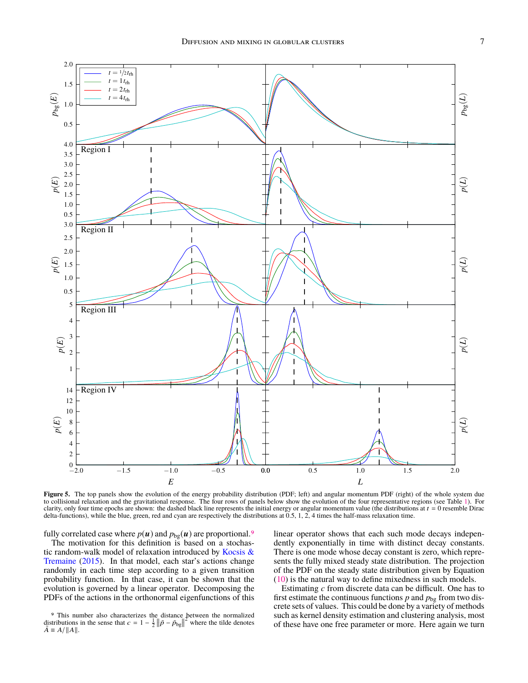<span id="page-6-0"></span>

**Figure 5.** The top panels show the evolution of the energy probability distribution (PDF; left) and angular momentum PDF (right) of the whole system due to collisional relaxation and the gravitational response. The four rows of panels below show the evolution of the four representative regions (see Table [1\)](#page-5-0). For clarity, only four time epochs are shown: the dashed black line represents the initial energy or angular momentum value (the distributions at  $t = 0$  resemble Dirac delta-functions), while the blue, green, red and cyan are respectively the distributions at  $0.5, 1, 2, 4$  times the half-mass relaxation time.

fully correlated case where  $p(u)$  and  $p_{bg}(u)$  are proportional.<sup>[9](#page-6-1)</sup>

The motivation for this definition is based on a stochastic random-walk model of relaxation introduced by [Kocsis &](#page-9-35) [Tremaine](#page-9-35) [\(2015\)](#page-9-35). In that model, each star's actions change randomly in each time step according to a given transition probability function. In that case, it can be shown that the evolution is governed by a linear operator. Decomposing the PDFs of the actions in the orthonormal eigenfunctions of this

 $\tilde{A} \equiv A / ||A||.$ 

linear operator shows that each such mode decays independently exponentially in time with distinct decay constants. There is one mode whose decay constant is zero, which represents the fully mixed steady state distribution. The projection of the PDF on the steady state distribution given by Equation [\(10\)](#page-5-4) is the natural way to define mixedness in such models.

<span id="page-6-1"></span><sup>9</sup> This number also characterizes the distance between the normalized distributions in the sense that  $c = 1 - \frac{1}{2} ||\tilde{p} - \tilde{p}_{bg}||^2$  where the tilde denotes

Estimating *c* from discrete data can be difficult. One has to first estimate the continuous functions  $p$  and  $p_{bg}$  from two discrete sets of values. This could be done by a variety of methods such as kernel density estimation and clustering analysis, most of these have one free parameter or more. Here again we turn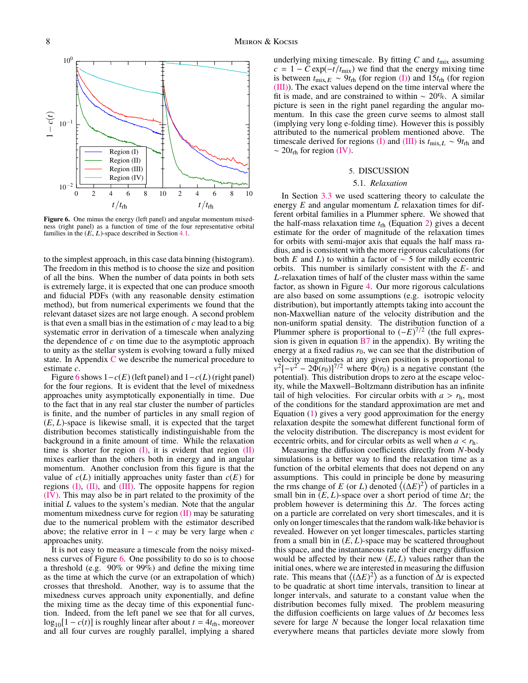<span id="page-7-1"></span>

Figure 6. One minus the energy (left panel) and angular momentum mixedness (right panel) as a function of time of the four representative orbital families in the  $(E, L)$ -space described in Section [4.1.](#page-4-5)

to the simplest approach, in this case data binning (histogram). The freedom in this method is to choose the size and position of all the bins. When the number of data points in both sets is extremely large, it is expected that one can produce smooth and fiducial PDFs (with any reasonable density estimation method), but from numerical experiments we found that the relevant dataset sizes are not large enough. A second problem is that even a small bias in the estimation of *c* may lead to a big systematic error in derivation of a timescale when analyzing the dependence of *c* on time due to the asymptotic approach to unity as the stellar system is evolving toward a fully mixed state. In Appendix [C](#page-12-0) we describe the numerical procedure to estimate *c*.

Figure [6](#page-7-1) shows  $1 - c(E)$  (left panel) and  $1 - c(L)$  (right panel) for the four regions. It is evident that the level of mixedness approaches unity asymptotically exponentially in time. Due to the fact that in any real star cluster the number of particles is finite, and the number of particles in any small region of  $(E, L)$ -space is likewise small, it is expected that the target distribution becomes statistically indistinguishable from the background in a finite amount of time. While the relaxation time is shorter for region  $(I)$ , it is evident that region  $(II)$ mixes earlier than the others both in energy and in angular momentum. Another conclusion from this figure is that the value of  $c(L)$  initially approaches unity faster than  $c(E)$  for regions [\(I\),](#page-5-5) [\(II\),](#page-5-6) and [\(III\).](#page-5-2) The opposite happens for region [\(IV\).](#page-5-1) This may also be in part related to the proximity of the initial *L* values to the system's median. Note that the angular momentum mixedness curve for region [\(II\)](#page-5-6) may be saturating due to the numerical problem with the estimator described above; the relative error in  $1 - c$  may be very large when  $c$ approaches unity.

It is not easy to measure a timescale from the noisy mixedness curves of Figure [6.](#page-7-1) One possibility to do so is to choose a threshold (e.g.  $90\%$  or  $99\%$ ) and define the mixing time as the time at which the curve (or an extrapolation of which) crosses that threshold. Another, way is to assume that the mixedness curves approach unity exponentially, and define the mixing time as the decay time of this exponential function. Indeed, from the left panel we see that for all curves,  $\log_{10}[1 - c(t)]$  is roughly linear after about  $t = 4t_{\text{rh}}$ , moreover and all four curves are roughly parallel, implying a shared

underlying mixing timescale. By fitting  $C$  and  $t_{\text{mix}}$  assuming  $c = 1 - C \exp(-t/t_{\text{mix}})$  we find that the energy mixing time is between  $t_{\text{mix},E} \sim 9t_{\text{rh}}$  (for region [\(I\)\)](#page-5-5) and 15 $t_{\text{rh}}$  (for region [\(III\)\)](#page-5-2). The exact values depend on the time interval where the fit is made, and are constrained to within  $\sim 20\%$ . A similar picture is seen in the right panel regarding the angular momentum. In this case the green curve seems to almost stall (implying very long e-folding time). However this is possibly attributed to the numerical problem mentioned above. The timescale derived for regions [\(I\)](#page-5-5) and [\(III\)](#page-5-2) is  $t_{\text{mix},L} \sim 9t_{\text{rh}}$  and ∼ 20*t*rh for region [\(IV\).](#page-5-1)

# 5. DISCUSSION

# 5.1. *Relaxation*

<span id="page-7-0"></span>In Section [3.3](#page-3-5) we used scattering theory to calculate the energy *E* and angular momentum *L* relaxation times for different orbital families in a Plummer sphere. We showed that the half-mass relaxation time  $t_{\text{rh}}$  (Equation [2\)](#page-2-2) gives a decent estimate for the order of magnitude of the relaxation times for orbits with semi-major axis that equals the half mass radius, and is consistent with the more rigorous calculations (for both *E* and *L*) to within a factor of  $\sim$  5 for mildly eccentric orbits. This number is similarly consistent with the *E*- and *L*-relaxation times of half of the cluster mass within the same factor, as shown in Figure [4.](#page-4-4) Our more rigorous calculations are also based on some assumptions (e.g. isotropic velocity distribution), but importantly attempts taking into account the non-Maxwellian nature of the velocity distribution and the non-uniform spatial density. The distribution function of a Plummer sphere is proportional to  $(-E)^{7/2}$  (the full expression is given in equation  $B7$  in the appendix). By writing the energy at a fixed radius  $r_0$ , we can see that the distribution of velocity magnitudes at any given position is proportional to  $v^2[-v^2-2\Phi(r_0)]^{7/2}$  where  $\Phi(r_0)$  is a negative constant (the potential). This distribution drops to zero at the escape velocity, while the Maxwell–Boltzmann distribution has an infinite tail of high velocities. For circular orbits with  $a > r<sub>h</sub>$ , most of the conditions for the standard approximation are met and Equation [\(1\)](#page-1-4) gives a very good approximation for the energy relaxation despite the somewhat different functional form of the velocity distribution. The discrepancy is most evident for eccentric orbits, and for circular orbits as well when  $a < r_h$ .

Measuring the diffusion coefficients directly from *N*-body simulations is a better way to find the relaxation time as a function of the orbital elements that does not depend on any assumptions. This could in principle be done by measuring the rms change of *E* (or *L*) denoted  $\langle (\Delta E)^2 \rangle$  of particles in a small bin in  $(E, L)$ -space over a short period of time  $\Delta t$ ; the problem however is determining this ∆*t*. The forces acting on a particle are correlated on very short timescales, and it is only on longer timescales that the random walk-like behavior is revealed. However on yet longer timescales, particles starting from a small bin in  $(E, L)$ -space may be scattered throughout this space, and the instantaneous rate of their energy diffusion would be affected by their new  $(E, L)$  values rather than the initial ones, where we are interested in measuring the diffusion rate. This means that  $\langle (\Delta E)^2 \rangle$  as a function of  $\Delta t$  is expected to be quadratic at short time intervals, transition to linear at longer intervals, and saturate to a constant value when the distribution becomes fully mixed. The problem measuring the diffusion coefficients on large values of ∆*t* becomes less severe for large *N* because the longer local relaxation time everywhere means that particles deviate more slowly from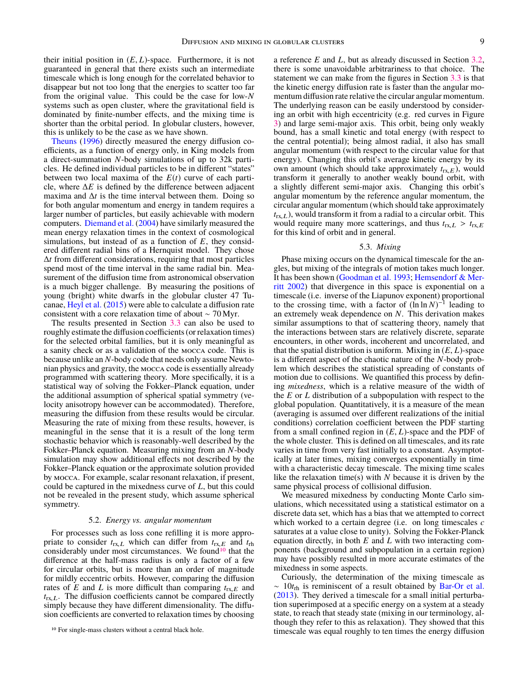their initial position in  $(E, L)$ -space. Furthermore, it is not guaranteed in general that there exists such an intermediate timescale which is long enough for the correlated behavior to disappear but not too long that the energies to scatter too far from the original value. This could be the case for low-*N* systems such as open cluster, where the gravitational field is dominated by finite-number effects, and the mixing time is shorter than the orbital period. In globular clusters, however, this is unlikely to be the case as we have shown.

[Theuns](#page-9-36) [\(1996\)](#page-9-36) directly measured the energy diffusion coefficients, as a function of energy only, in King models from a direct-summation *N*-body simulations of up to 32k particles. He defined individual particles to be in different "states" between two local maxima of the *E*(*t*) curve of each particle, where ∆*E* is defined by the difference between adjacent maxima and  $\Delta t$  is the time interval between them. Doing so for both angular momentum and energy in tandem requires a larger number of particles, but easily achievable with modern computers. [Diemand et al.](#page-9-37) [\(2004\)](#page-9-37) have similarly measured the mean energy relaxation times in the context of cosmological simulations, but instead of as a function of *E*, they considered different radial bins of a Hernquist model. They chose ∆*t* from different considerations, requiring that most particles spend most of the time interval in the same radial bin. Measurement of the diffusion time from astronomical observation is a much bigger challenge. By measuring the positions of young (bright) white dwarfs in the globular cluster 47 Tucanae, [Heyl et al.](#page-9-38) [\(2015\)](#page-9-38) were able to calculate a diffusion rate consistent with a core relaxation time of about ∼ 70 Myr.

The results presented in Section [3.3](#page-3-5) can also be used to roughly estimate the diffusion coefficients (or relaxation times) for the selected orbital families, but it is only meaningful as a sanity check or as a validation of the mocca code. This is because unlike an *N*-body code that needs only assume Newtonian physics and gravity, the mocca code is essentially already programmed with scattering theory. More specifically, it is a statistical way of solving the Fokker–Planck equation, under the additional assumption of spherical spatial symmetry (velocity anisotropy however can be accommodated). Therefore, measuring the diffusion from these results would be circular. Measuring the rate of mixing from these results, however, is meaningful in the sense that it is a result of the long term stochastic behavior which is reasonably-well described by the Fokker–Planck equation. Measuring mixing from an *N*-body simulation may show additional effects not described by the Fokker–Planck equation or the approximate solution provided by mocca. For example, scalar resonant relaxation, if present, could be captured in the mixedness curve of *L*, but this could not be revealed in the present study, which assume spherical symmetry.

### 5.2. *Energy vs. angular momentum*

For processes such as loss cone refilling it is more appropriate to consider  $t_{\text{rx},L}$  which can differ from  $t_{\text{rx},E}$  and  $t_{\text{rh}}$ considerably under most circumstances. We found<sup>[10](#page-8-0)</sup> that the difference at the half-mass radius is only a factor of a few for circular orbits, but is more than an order of magnitude for mildly eccentric orbits. However, comparing the diffusion rates of  $E$  and  $L$  is more difficult than comparing  $t_{rx,E}$  and  $t_{rx,L}$ . The diffusion coefficients cannot be compared directly simply because they have different dimensionality. The diffusion coefficients are converted to relaxation times by choosing

a reference *E* and *L*, but as already discussed in Section [3.2,](#page-2-3) there is some unavoidable arbitrariness to that choice. The statement we can make from the figures in Section [3.3](#page-3-5) is that the kinetic energy diffusion rate is faster than the angular momentum diffusion rate relative the circular angular momentum. The underlying reason can be easily understood by considering an orbit with high eccentricity (e.g. red curves in Figure [3\)](#page-4-1) and large semi-major axis. This orbit, being only weakly bound, has a small kinetic and total energy (with respect to the central potential); being almost radial, it also has small angular momentum (with respect to the circular value for that energy). Changing this orbit's average kinetic energy by its own amount (which should take approximately  $t_{rx,E}$ ), would transform it generally to another weakly bound orbit, with a slightly different semi-major axis. Changing this orbit's angular momentum by the reference angular momentum, the circular angular momentum (which should take approximately  $t_{\text{rx},L}$ ), would transform it from a radial to a circular orbit. This would require many more scatterings, and thus  $t_{\text{rx},L} > t_{\text{rx},E}$ for this kind of orbit and in general.

### 5.3. *Mixing*

Phase mixing occurs on the dynamical timescale for the angles, but mixing of the integrals of motion takes much longer. It has been shown [\(Goodman et al.](#page-9-39) [1993;](#page-9-39) [Hemsendorf & Mer](#page-9-40)[ritt](#page-9-40) [2002\)](#page-9-40) that divergence in this space is exponential on a timescale (i.e. inverse of the Liapunov exponent) proportional to the crossing time, with a factor of  $(\ln \ln N)^{-1}$  leading to an extremely weak dependence on *N*. This derivation makes similar assumptions to that of scattering theory, namely that the interactions between stars are relatively discrete, separate encounters, in other words, incoherent and uncorrelated, and that the spatial distribution is uniform. Mixing in  $(E, L)$ -space is a different aspect of the chaotic nature of the *N*-body problem which describes the statistical spreading of constants of motion due to collisions. We quantified this process by defining *mixedness*, which is a relative measure of the width of the *E* or *L* distribution of a subpopulation with respect to the global population. Quantitatively, it is a measure of the mean (averaging is assumed over different realizations of the initial conditions) correlation coefficient between the PDF starting from a small confined region in (*E*, *<sup>L</sup>*)-space and the PDF of the whole cluster. This is defined on all timescales, and its rate varies in time from very fast initially to a constant. Asymptotically at later times, mixing converges exponentially in time with a characteristic decay timescale. The mixing time scales like the relaxation time(s) with *N* because it is driven by the same physical process of collisional diffusion.

We measured mixedness by conducting Monte Carlo simulations, which necessitated using a statistical estimator on a discrete data set, which has a bias that we attempted to correct which worked to a certain degree (i.e. on long timescales *c* saturates at a value close to unity). Solving the Fokker-Planck equation directly, in both *E* and *L* with two interacting components (background and subpopulation in a certain region) may have possibly resulted in more accurate estimates of the mixedness in some aspects.

Curiously, the determination of the mixing timescale as ∼ 10*t*rh is reminiscent of a result obtained by [Bar-Or et al.](#page-9-9) [\(2013\)](#page-9-9). They derived a timescale for a small initial perturbation superimposed at a specific energy on a system at a steady state, to reach that steady state (mixing in our terminology, although they refer to this as relaxation). They showed that this timescale was equal roughly to ten times the energy diffusion

<span id="page-8-0"></span><sup>10</sup> For single-mass clusters without a central black hole.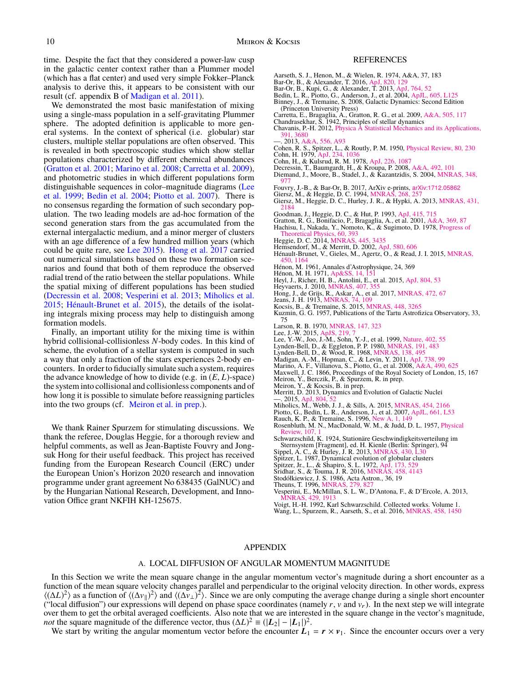time. Despite the fact that they considered a power-law cusp in the galactic center context rather than a Plummer model (which has a flat center) and used very simple Fokker–Planck analysis to derive this, it appears to be consistent with our result (cf. appendix B of [Madigan et al.](#page-9-41) [2011\)](#page-9-41).

We demonstrated the most basic manifestation of mixing using a single-mass population in a self-gravitating Plummer sphere. The adopted definition is applicable to more general systems. In the context of spherical (i.e. globular) star clusters, multiple stellar populations are often observed. This is revealed in both spectroscopic studies which show stellar populations characterized by different chemical abundances [\(Gratton et al.](#page-9-42) [2001;](#page-9-42) [Marino et al.](#page-9-43) [2008;](#page-9-43) [Carretta et al.](#page-9-44) [2009\)](#page-9-44), and photometric studies in which different populations form distinguishable sequences in color–magnitude diagrams [\(Lee](#page-9-45) [et al.](#page-9-45) [1999;](#page-9-45) [Bedin et al.](#page-9-46) [2004;](#page-9-46) [Piotto et al.](#page-9-47) [2007\)](#page-9-47). There is no consensus regarding the formation of such secondary population. The two leading models are ad-hoc formation of the second generation stars from the gas accumulated from the external intergalactic medium, and a minor merger of clusters with an age difference of a few hundred million years (which could be quite rare, see [Lee](#page-9-48) [2015\)](#page-9-48). [Hong et al.](#page-9-49) [2017](#page-9-49) carried out numerical simulations based on these two formation scenarios and found that both of them reproduce the observed radial trend of the ratio between the stellar populations. While the spatial mixing of different populations has been studied [\(Decressin et al.](#page-9-50) [2008;](#page-9-50) [Vesperini et al.](#page-9-51) [2013;](#page-9-51) [Miholics et al.](#page-9-52) [2015;](#page-9-52) [Hénault-Brunet et al.](#page-9-53) [2015\)](#page-9-53), the details of the isolating integrals mixing process may help to distinguish among formation models.

Finally, an important utility for the mixing time is within hybrid collisional-collisionless *N*-body codes. In this kind of scheme, the evolution of a stellar system is computed in such a way that only a fraction of the stars experiences 2-body encounters. In order to fiducially simulate such a system, requires the advance knowledge of how to divide (e.g. in (*E*, *<sup>L</sup>*)-space) the system into collisional and collisionless components and of how long it is possible to simulate before reassigning particles into the two groups (cf. [Meiron et al.](#page-9-54) [in prep.\)](#page-9-54).

We thank Rainer Spurzem for stimulating discussions. We thank the referee, Douglas Heggie, for a thorough review and helpful comments, as well as Jean-Baptiste Fouvry and Jongsuk Hong for their useful feedback. This project has received funding from the European Research Council (ERC) under the European Union's Horizon 2020 research and innovation programme under grant agreement No 638435 (GalNUC) and by the Hungarian National Research, Development, and Innovation Office grant NKFIH KH-125675.

## REFERENCES

- <span id="page-9-57"></span>Aarseth, S. J., Henon, M., & Wielen, R. 1974, A&A, 37, 183
- <span id="page-9-55"></span><span id="page-9-9"></span>Bar-Or, B., & Alexander, T. 2016, [ApJ, 820, 129](http://dx.doi.org/10.3847/0004-637X/820/2/129) Bar-Or, B., Kupi, G., & Alexander, T. 2013, [ApJ, 764, 52](http://dx.doi.org/10.1088/0004-637X/764/1/52)
- 
- <span id="page-9-46"></span>Bedin, L. R., Piotto, G., Anderson, J., et al. 2004, [ApJL, 605, L125](http://dx.doi.org/10.1086/420847)
- <span id="page-9-1"></span>Binney, J., & Tremaine, S. 2008, Galactic Dynamics: Second Edition (Princeton University Press)
- <span id="page-9-44"></span>Carretta, E., Bragaglia, A., Gratton, R. G., et al. 2009, [A&A, 505, 117](http://dx.doi.org/10.1051/0004-6361/200912096) Chandrasekhar, S. 1942, Principles of stellar dynamics
- <span id="page-9-8"></span>
- <span id="page-9-14"></span>Chavanis, P.-H. 2012, [Physica A Statistical Mechanics and its Applications,](http://dx.doi.org/10.1016/j.physa.2012.02.019) [391, 3680](http://dx.doi.org/10.1016/j.physa.2012.02.019) —. 2013, [A&A, 556, A93](http://dx.doi.org/10.1051/0004-6361/201220607)
- <span id="page-9-15"></span>
- <span id="page-9-27"></span><span id="page-9-20"></span>Cohen, R. S., Spitzer, L., & Routly, P. M. 1950, [Physical Review, 80, 230](http://dx.doi.org/10.1103/PhysRev.80.230) Cohn, H. 1979, ApJ
- <span id="page-9-31"></span>Cohn, H., & Kulsrud, R. M. 1978, [ApJ, 226, 1087](http://dx.doi.org/10.1086/156685)
- <span id="page-9-50"></span><span id="page-9-37"></span>Decressin, T., Baumgardt, H., & Kroupa, P. 2008, [A&A, 492, 101](http://dx.doi.org/10.1051/0004-6361:200810275)
- Diemand, J., Moore, B., Stadel, J., & Kazantzidis, S. 2004, [MNRAS, 348,](http://dx.doi.org/10.1111/j.1365-2966.2004.07424.x)
- <span id="page-9-28"></span><span id="page-9-6"></span>
- <span id="page-9-32"></span>
- [977](http://dx.doi.org/10.1111/j.1365-2966.2004.07424.x) Fouvry, J.-B., & Bar-Or, B. 2017, ArXiv e-prints, [arXiv:1712.05862](http://arxiv.org/abs/1712.05862) Giersz, M., & Heggie, D. C. 1994, [MNRAS, 268, 257](http://dx.doi.org/10.1093/mnras/268.1.257) Giersz, M., Heggie, D. C., Hurley, J. R., & Hypki, A. 2013, [MNRAS, 431,](http://dx.doi.org/10.1093/mnras/stt307)
- <span id="page-9-42"></span><span id="page-9-39"></span>
- [2184](http://dx.doi.org/10.1093/mnras/stt307) Goodman, J., Heggie, D. C., & Hut, P. 1993, [ApJ, 415, 715](http://dx.doi.org/10.1086/173196) Gratton, R. G., Bonifacio, P., Bragaglia, A., et al. 2001, [A&A, 369, 87](http://dx.doi.org/10.1051/0004-6361:20010144) Hachisu, I., Nakada, Y., Nomoto, K., & Sugimoto, D. 1978, [Progress of](http://dx.doi.org/10.1143/PTP.60.393)
- <span id="page-9-17"></span><span id="page-9-4"></span>[Theoretical Physics, 60, 393](http://dx.doi.org/10.1143/PTP.60.393) Heggie, D. C. 2014, [MNRAS, 445, 3435](http://dx.doi.org/10.1093/mnras/stu1976)
- <span id="page-9-40"></span>Hemsendorf, M., & Merritt, D. 2002, [ApJ, 580, 606](http://dx.doi.org/10.1086/343027)
- <span id="page-9-53"></span>Hénault-Brunet, V., Gieles, M., Agertz, O., & Read, J. I. 2015, [MNRAS,](http://dx.doi.org/10.1093/mnras/stv675)
- [450, 1164](http://dx.doi.org/10.1093/mnras/stv675) Hénon, M. 1961, Annales d'Astrophysique, 24, 369
- <span id="page-9-33"></span><span id="page-9-22"></span>Hénon, M. H. 1971, Ap&SS, 14,
- <span id="page-9-38"></span>Heyl, J., Richer, H. B., Antolini, E., et al. 2015, [ApJ, 804, 53](http://dx.doi.org/10.1088/0004-637X/804/1/53)
- <span id="page-9-13"></span>Heyvaerts, J. 2010, MNRAS, 407,
- <span id="page-9-49"></span>Hong, J., de Grijs, R., Askar, A., et al. 2017, [MNRAS, 472, 67](http://dx.doi.org/10.1093/mnras/stx1954)
- <span id="page-9-35"></span><span id="page-9-11"></span>Jeans, J. H. 1913, MNRAS Kocsis, B., & Tremaine, S. 2015, [MNRAS, 448, 3265](http://dx.doi.org/10.1093/mnras/stv057)
- 
- <span id="page-9-23"></span>Kuzmin, G. G. 1957, Publications of the Tartu Astrofizica Observatory, 33, 75<br>Larson, R. B. 1970, MNRAS, 147, 323
- <span id="page-9-48"></span><span id="page-9-29"></span>
- <span id="page-9-45"></span>
- <span id="page-9-18"></span>
- <span id="page-9-19"></span>
- <span id="page-9-43"></span><span id="page-9-41"></span>
- Larson, R. B. 1970, [MNRAS, 147, 323](http://dx.doi.org/10.1093/mnras/147.4.323)<br>Lee, J.-W. 2015, [ApJS, 219, 7](http://dx.doi.org/10.1088/0067-0049/219/1/7)<br>Lee, Y.-W., Joo, J.-M., Sohn, Y.-J., et al. 1999, [Nature, 402, 55](http://dx.doi.org/10.1038/46985)<br>Lynden-Bell, D., & Eggleton, P. P. 1980, [MNRAS, 191, 483](http://dx.doi.org/10.1093/mnras/191.3.483)<br>Lynden-Bell, D., & Wood, R. 1968,
- <span id="page-9-10"></span>Maxwell, J. C. 1866, Proceedings of the Royal Society of London, 15, 167
- <span id="page-9-54"></span>Meiron, Y., Berczik, P., & Spurzem, R. in prep.
- <span id="page-9-25"></span><span id="page-9-2"></span>Meiron, Y., & Kocsis, B. in prep. Merritt, D. 2013, Dynamics and Evolution of Galactic Nuclei  $-$ , 2015, ApJ
- <span id="page-9-52"></span><span id="page-9-47"></span><span id="page-9-7"></span>
- Miholics, M., Webb, J. J., & Sills, A. 2015, [MNRAS, 454, 2166](http://dx.doi.org/10.1093/mnras/stv2086) Piotto, G., Bedin, L. R., Anderson, J., et al. 2007, [ApJL, 661, L53](http://dx.doi.org/10.1086/518503) Rauch, K. P., & Tremaine, S. 1996, [New A, 1, 149](http://dx.doi.org/10.1016/S1384-1076(96)00012-7)
- <span id="page-9-24"></span>
- <span id="page-9-30"></span>Rosenbluth, M. N., MacDonald, W. M., & Judd, D. L. 1957, [Physical](http://dx.doi.org/10.1103/PhysRev.107.1) Review, 107
- <span id="page-9-12"></span>Schwarzschild, K. 1924, Stationäre Geschwindigkeitsverteilung im Sternsystem [Fragment], ed. H. Kienle (Berlin: Springer), 94
- <span id="page-9-0"></span>
- <span id="page-9-3"></span>Sippel, A. C., & Hurley, J. R. 2013, [MNRAS, 430, L30](http://dx.doi.org/10.1093/mnrasl/sls044)<br>Spitzer, L. 1987, Dynamical evolution of globular clusters<br>Spitzer, Jr., L., & Shapiro, S. L. 1972, [ApJ, 173, 529](http://dx.doi.org/10.1086/151442)<br>Sridhar, S., & Touma, J. R. 2016, [MNRAS, 458, 4143](http://dx.doi.org/10.1093/mnras/stw543)
- <span id="page-9-56"></span><span id="page-9-16"></span>
- <span id="page-9-36"></span><span id="page-9-34"></span>
- <span id="page-9-51"></span>Vesperini, E., McMillan, S. L. W., D'Antona, F., & D'Ercole, A. 2013, 429, 1913
- <span id="page-9-21"></span><span id="page-9-5"></span>Voigt, H.-H. 1992, Karl Schwarzschild. Collected works. Volume 1. Wang, L., Spurzem, R., Aarseth, S., et al. 2016, [MNRAS, 458, 1450](http://dx.doi.org/10.1093/mnras/stw274)

### APPENDIX

## A. LOCAL DIFFUSION OF ANGULAR MOMENTUM MAGNITUDE

<span id="page-9-26"></span>In this Section we write the mean square change in the angular momentum vector's magnitude during a short encounter as a function of the mean square velocity changes parallel and perpendicular to the original velocity direction. In other words, express  $\langle (\Delta L)^2 \rangle$  as a function of  $\langle (\Delta v_{\parallel})^2 \rangle$  and  $\langle (\Delta v_{\perp})^2 \rangle$ . Since we are only computing the average change during a single short encounter ("local diffusion") our expressions will depend on phase space coordinates (namely  $r$ ,  $v$  and  $v_r$ ). In the next step we will integrate over them to get the orbital averaged coefficients. Also note that we are interested in the square change in the vector's magnitude, *not* the square magnitude of the difference vector, thus  $(\Delta L)^2 \equiv (|\mathbf{L}_2| - |\mathbf{L}_1|)^2$ .

We start by writing the angular momentum vector before the encounter  $L_1 = r \times v_1$ . Since the encounter occurs over a very

Stodółkiewicz, J. S. 1986, Acta Astron., 36, 19 Theuns, T. 1996, MNRA,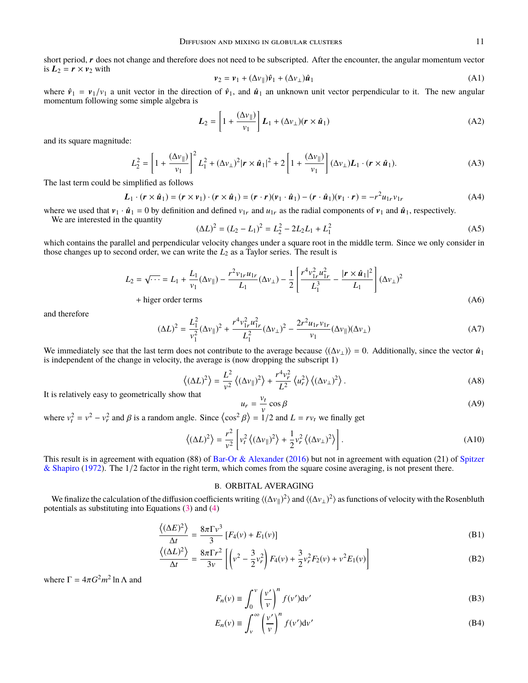short period, r does not change and therefore does not need to be subscripted. After the encounter, the angular momentum vector is  $L_2 = r \times v_2$  with

$$
\mathbf{v}_2 = \mathbf{v}_1 + (\Delta v_{\parallel})\hat{\mathbf{v}}_1 + (\Delta v_{\perp})\hat{\mathbf{u}}_1
$$
 (A1)

where  $\hat{v}_1 = v_1/v_1$  a unit vector in the direction of  $\hat{v}_1$ , and  $\hat{u}_1$  an unknown unit vector perpendicular to it. The new angular momentum following some simple algebra is

$$
L_2 = \left[1 + \frac{(\Delta v_{\parallel})}{v_1}\right] L_1 + (\Delta v_{\perp})(r \times \hat{u}_1)
$$
 (A2)

and its square magnitude:

$$
L_2^2 = \left[1 + \frac{(\Delta v_{\parallel})}{v_1}\right]^2 L_1^2 + (\Delta v_{\perp})^2 |\mathbf{r} \times \hat{\mathbf{u}}_1|^2 + 2 \left[1 + \frac{(\Delta v_{\parallel})}{v_1}\right] (\Delta v_{\perp}) \mathbf{L}_1 \cdot (\mathbf{r} \times \hat{\mathbf{u}}_1).
$$
 (A3)

The last term could be simplified as follows

$$
\boldsymbol{L}_1 \cdot (\boldsymbol{r} \times \hat{\boldsymbol{u}}_1) = (\boldsymbol{r} \times \boldsymbol{v}_1) \cdot (\boldsymbol{r} \times \hat{\boldsymbol{u}}_1) = (\boldsymbol{r} \cdot \boldsymbol{r})(\boldsymbol{v}_1 \cdot \hat{\boldsymbol{u}}_1) - (\boldsymbol{r} \cdot \hat{\boldsymbol{u}}_1)(\boldsymbol{v}_1 \cdot \boldsymbol{r}) = -r^2 u_{1r} v_{1r}
$$
(A4)

where we used that  $v_1 \cdot \hat{u}_1 = 0$  by definition and defined  $v_{1r}$  and  $u_{1r}$  as the radial components of  $v_1$  and  $\hat{u}_1$ , respectively.

We are interested in the quantity

$$
(\Delta L)^2 = (L_2 - L_1)^2 = L_2^2 - 2L_2L_1 + L_1^2
$$
\n(A5)

which contains the parallel and perpendicular velocity changes under a square root in the middle term. Since we only consider in those changes up to second order, we can write the  $L_2$  as a Taylor series. The result is

$$
L_2 = \sqrt{\cdots} = L_1 + \frac{L_1}{v_1} (\Delta v_{\parallel}) - \frac{r^2 v_{1r} u_{1r}}{L_1} (\Delta v_{\perp}) - \frac{1}{2} \left[ \frac{r^4 v_{1r}^2 u_{1r}^2}{L_1^3} - \frac{|\mathbf{r} \times \hat{\mathbf{u}}_1|^2}{L_1} \right] (\Delta v_{\perp})^2
$$
  
+ higher order terms (A6)

and therefore

$$
(\Delta L)^{2} = \frac{L_{1}^{2}}{v_{1}^{2}} (\Delta v_{\parallel})^{2} + \frac{r^{4} v_{1r}^{2} u_{1r}^{2}}{L_{1}^{2}} (\Delta v_{\perp})^{2} - \frac{2r^{2} u_{1r} v_{1r}}{v_{1}} (\Delta v_{\parallel}) (\Delta v_{\perp})
$$
(A7)

We immediately see that the last term does not contribute to the average because  $\langle (\Delta v_{\perp}) \rangle = 0$ . Additionally, since the vector  $\hat{u}_1$ is independent of the change in velocity, the average is (now dropping the subscript 1)

$$
\left\langle (\Delta L)^2 \right\rangle = \frac{L^2}{v^2} \left\langle (\Delta v_{\parallel})^2 \right\rangle + \frac{r^4 v_r^2}{L^2} \left\langle u_r^2 \right\rangle \left\langle (\Delta v_\perp)^2 \right\rangle. \tag{A8}
$$

It is relatively easy to geometrically show that

$$
u_r = \frac{v_t}{v} \cos \beta \tag{A9}
$$

where  $v_t^2 = v^2 - v_r^2$  and  $\beta$  is a random angle. Since  $\langle \cos^2 \beta \rangle = 1/2$  and  $L = rv_t$  we finally get

$$
\left\langle (\Delta L)^2 \right\rangle = \frac{r^2}{v^2} \left[ v_t^2 \left\langle (\Delta v_\parallel)^2 \right\rangle + \frac{1}{2} v_r^2 \left\langle (\Delta v_\perp)^2 \right\rangle \right]. \tag{A10}
$$

This result is in agreement with equation (88) of [Bar-Or & Alexander](#page-9-55) [\(2016\)](#page-9-55) but not in agreement with equation (21) of [Spitzer](#page-9-56) [& Shapiro](#page-9-56) [\(1972\)](#page-9-56). The 1/2 factor in the right term, which comes from the square cosine averaging, is not present there.

# B. ORBITAL AVERAGING

<span id="page-10-0"></span>We finalize the calculation of the diffusion coefficients writing  $\langle (\Delta v_{\parallel})^2 \rangle$  and  $\langle (\Delta v_{\perp})^2 \rangle$  as functions of velocity with the Rosenbluth potentials as substituting into Equations [\(3\)](#page-3-0) and [\(4\)](#page-3-1)

$$
\frac{\langle (\Delta E)^2 \rangle}{\Delta t} = \frac{8\pi \Gamma v^3}{3} \left[ F_4(v) + E_1(v) \right] \tag{B1}
$$

$$
\frac{\langle (\Delta L)^2 \rangle}{\Delta t} = \frac{8\pi \Gamma r^2}{3\nu} \left[ \left( v^2 - \frac{3}{2} v_r^2 \right) F_4(v) + \frac{3}{2} v_r^2 F_2(v) + v^2 E_1(v) \right]
$$
(B2)

where  $\Gamma = 4\pi G^2 m^2 \ln \Lambda$  and

$$
F_n(v) \equiv \int_0^v \left(\frac{v'}{v}\right)^n f(v') \mathrm{d}v' \tag{B3}
$$

$$
E_n(v) \equiv \int_v^\infty \left(\frac{v'}{v}\right)^n f(v') \mathrm{d}v' \tag{B4}
$$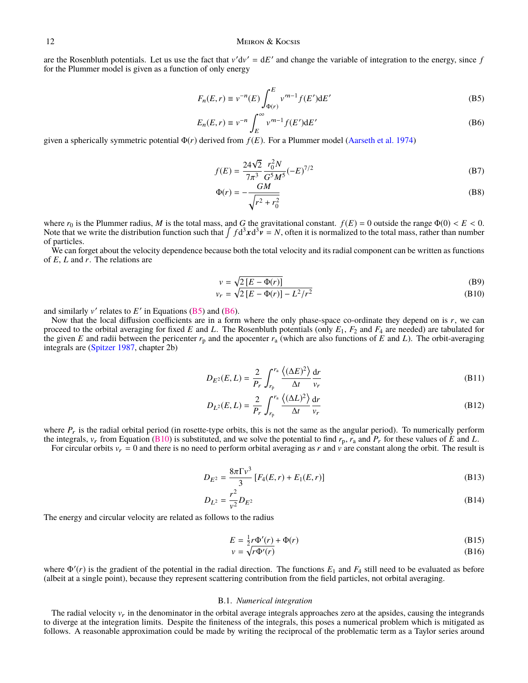are the Rosenbluth potentials. Let us use the fact that  $v'dv' = dE'$  and change the variable of integration to the energy, since *f* for the Plummer model is given as a function of only energy

$$
F_n(E,r) \equiv v^{-n}(E) \int_{\Phi(r)}^E v'^{n-1} f(E') dE'
$$
 (B5)

$$
E_n(E,r) \equiv v^{-n} \int_E^{\infty} v^{m-1} f(E') dE'
$$
 (B6)

given a spherically symmetric potential Φ(*r*) derived from *f* (*E*). For a Plummer model [\(Aarseth et al.](#page-9-57) [1974\)](#page-9-57)

<span id="page-11-2"></span><span id="page-11-1"></span><span id="page-11-0"></span>
$$
f(E) = \frac{24\sqrt{2}}{7\pi^3} \frac{r_0^2 N}{G^5 M^5} (-E)^{7/2}
$$
 (B7)

$$
\Phi(r) = -\frac{GM}{\sqrt{r^2 + r_0^2}}\tag{B8}
$$

where  $r_0$  is the Plummer radius, *M* is the total mass, and *G* the gravitational constant.  $f(E) = 0$  outside the range  $\Phi(0) < E < 0$ . Note that we write the distribution function such that  $\int f d^3x d^3y = N$ , often it is normalized to the total mass, rather than number of particles.

We can forget about the velocity dependence because both the total velocity and its radial component can be written as functions of *<sup>E</sup>*, *<sup>L</sup>* and *<sup>r</sup>*. The relations are

<span id="page-11-3"></span>
$$
v = \sqrt{2\left[E - \Phi(r)\right]}
$$
 (B9)

$$
v_r = \sqrt{2\left[E - \Phi(r)\right] - L^2/r^2}
$$
\n(B10)

and similarly  $v'$  relates to  $E'$  in Equations [\(B5\)](#page-11-1) and [\(B6\)](#page-11-2).

Now that the local diffusion coefficients are in a form where the only phase-space co-ordinate they depend on is *r*, we can proceed to the orbital averaging for fixed *E* and *L*. The Rosenbluth potentials (only *E*1, *F*<sup>2</sup> and *F*<sup>4</sup> are needed) are tabulated for the given *E* and radii between the pericenter  $r_p$  and the apocenter  $r_a$  (which are also functions of *E* and *L*). The orbit-averaging integrals are [\(Spitzer](#page-9-0) [1987,](#page-9-0) chapter 2b)

$$
D_{E^2}(E,L) = \frac{2}{P_r} \int_{r_p}^{r_a} \frac{\langle (\Delta E)^2 \rangle}{\Delta t} \frac{dr}{v_r}
$$
(B11)

$$
D_{L^2}(E,L) = \frac{2}{P_r} \int_{r_p}^{r_a} \frac{\langle (\Delta L)^2 \rangle}{\Delta t} \frac{\mathrm{d}r}{v_r} \tag{B12}
$$

where  $P_r$  is the radial orbital period (in rosette-type orbits, this is not the same as the angular period). To numerically perform the integrals,  $v_r$  from Equation [\(B10\)](#page-11-3) is substituted, and we solve the potential to find  $r_p$ ,  $r_a$  and  $P_r$  for these values of *E* and *L*.

For circular orbits  $v_r = 0$  and there is no need to perform orbital averaging as r and v are constant along the orbit. The result is

$$
D_{E^2} = \frac{8\pi\Gamma v^3}{3} \left[ F_4(E, r) + E_1(E, r) \right]
$$
 (B13)

$$
D_{L^2} = \frac{r^2}{v^2} D_{E^2}
$$
 (B14)

The energy and circular velocity are related as follows to the radius

$$
E = \frac{1}{2}r\Phi'(r) + \Phi(r) \tag{B15}
$$

$$
v = \sqrt{r\Phi'(r)}\tag{B16}
$$

where  $\Phi'(r)$  is the gradient of the potential in the radial direction. The functions  $E_1$  and  $F_4$  still need to be evaluated as before (albeit at a single point), because they represent scattering contribution from the field particles, not orbital averaging.

### B.1. *Numerical integration*

The radial velocity  $v_r$  in the denominator in the orbital average integrals approaches zero at the apsides, causing the integrands to diverge at the integration limits. Despite the finiteness of the integrals, this poses a numerical problem which is mitigated as follows. A reasonable approximation could be made by writing the reciprocal of the problematic term as a Taylor series around